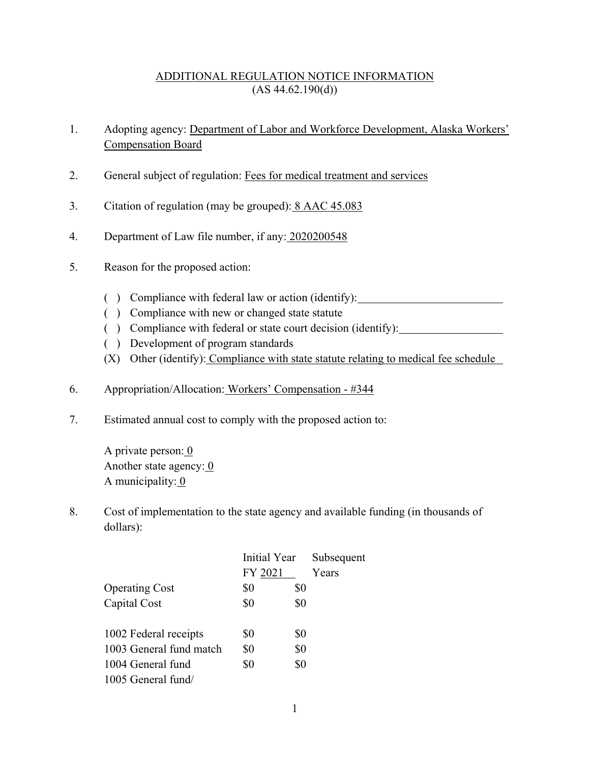## ADDITIONAL REGULATION NOTICE INFORMATION  $(AS 44.62.190(d))$

- 1. Adopting agency: Department of Labor and Workforce Development, Alaska Workers' Compensation Board
- 2. General subject of regulation: Fees for medical treatment and services
- 3. Citation of regulation (may be grouped): 8 AAC 45.083
- 4. Department of Law file number, if any: 2020200548
- 5. Reason for the proposed action:
	- ( ) Compliance with federal law or action (identify):
	- ( ) Compliance with new or changed state statute
	- ( ) Compliance with federal or state court decision (identify):
	- ( ) Development of program standards
	- (X) Other (identify): Compliance with state statute relating to medical fee schedule
- 6. Appropriation/Allocation: Workers' Compensation #344
- 7. Estimated annual cost to comply with the proposed action to:

A private person: 0 Another state agency:  $\overline{0}$ A municipality:  $0$ 

8. Cost of implementation to the state agency and available funding (in thousands of dollars):

|                         | Initial Year |     | Subsequent |
|-------------------------|--------------|-----|------------|
|                         | FY 2021      |     | Years      |
| <b>Operating Cost</b>   | \$0          | \$0 |            |
| Capital Cost            | \$0          | \$0 |            |
|                         |              |     |            |
| 1002 Federal receipts   | \$0          | \$0 |            |
| 1003 General fund match | \$0          | \$0 |            |
| 1004 General fund       | \$0          | \$0 |            |
| 1005 General fund/      |              |     |            |